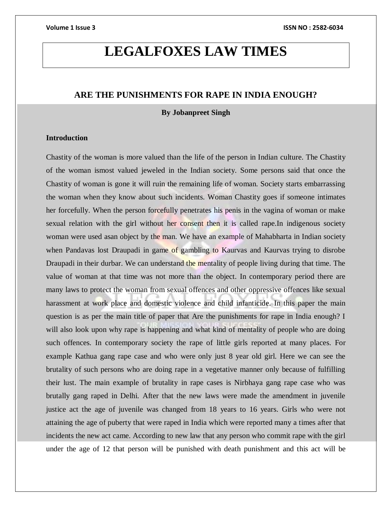# **LEGALFOXES LAW TIMES**

# **ARE THE PUNISHMENTS FOR RAPE IN INDIA ENOUGH?**

### **By Jobanpreet Singh**

# **Introduction**

Chastity of the woman is more valued than the life of the person in Indian culture. The Chastity of the woman ismost valued jeweled in the Indian society. Some persons said that once the Chastity of woman is gone it will ruin the remaining life of woman. Society starts embarrassing the woman when they know about such incidents. Woman Chastity goes if someone intimates her forcefully. When the person forcefully penetrates his penis in the vagina of woman or make sexual relation with the girl without her consent then it is called rape.In indigenous society woman were used asan object by the man. We have an example of Mahabharta in Indian society when Pandavas lost Draupadi in game of gambling to Kaurvas and Kaurvas trying to disrobe Draupadi in their durbar. We can understand the mentality of people living during that time. The value of woman at that time was not more than the object. In contemporary period there are many laws to protect the woman from sexual offences and other oppressive offences like sexual harassment at work place and domestic violence and child infanticide. In this paper the main question is as per the main title of paper that Are the punishments for rape in India enough? I will also look upon why rape is happening and what kind of mentality of people who are doing such offences. In contemporary society the rape of little girls reported at many places. For example Kathua gang rape case and who were only just 8 year old girl. Here we can see the brutality of such persons who are doing rape in a vegetative manner only because of fulfilling their lust. The main example of brutality in rape cases is Nirbhaya gang rape case who was brutally gang raped in Delhi. After that the new laws were made the amendment in juvenile justice act the age of juvenile was changed from 18 years to 16 years. Girls who were not attaining the age of puberty that were raped in India which were reported many a times after that incidents the new act came. According to new law that any person who commit rape with the girl under the age of 12 that person will be punished with death punishment and this act will be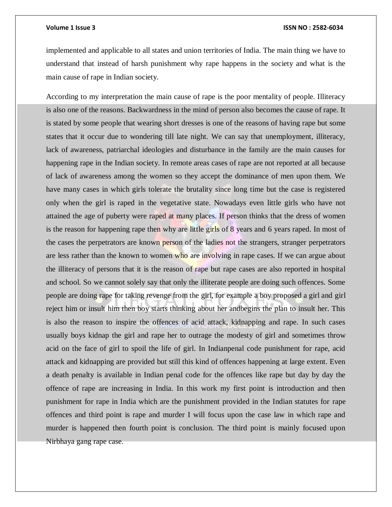implemented and applicable to all states and union territories of India. The main thing we have to understand that instead of harsh punishment why rape happens in the society and what is the main cause of rape in Indian society.

According to my interpretation the main cause of rape is the poor mentality of people. Illiteracy is also one of the reasons. Backwardness in the mind of person also becomes the cause of rape. It is stated by some people that wearing short dresses is one of the reasons of having rape but some states that it occur due to wondering till late night. We can say that unemployment, illiteracy, lack of awareness, patriarchal ideologies and disturbance in the family are the main causes for happening rape in the Indian society. In remote areas cases of rape are not reported at all because of lack of awareness among the women so they accept the dominance of men upon them. We have many cases in which girls tolerate the brutality since long time but the case is registered only when the girl is raped in the vegetative state. Nowadays even little girls who have not attained the age of puberty were raped at many places. If person thinks that the dress of women is the reason for happening rape then why are little girls of 8 years and 6 years raped. In most of the cases the perpetrators are known person of the ladies not the strangers, stranger perpetrators are less rather than the known to women who are involving in rape cases. If we can argue about the illiteracy of persons that it is the reason of rape but rape cases are also reported in hospital and school. So we cannot solely say that only the illiterate people are doing such offences. Some people are doing rape for taking revenge from the girl, for example a boy proposed a girl and girl reject him or insult him then boy starts thinking about her andbegins the plan to insult her. This is also the reason to inspire the offences of acid attack, kidnapping and rape. In such cases usually boys kidnap the girl and rape her to outrage the modesty of girl and sometimes throw acid on the face of girl to spoil the life of girl. In Indianpenal code punishment for rape, acid attack and kidnapping are provided but still this kind of offences happening at large extent. Even a death penalty is available in Indian penal code for the offences like rape but day by day the offence of rape are increasing in India. In this work my first point is introduction and then punishment for rape in India which are the punishment provided in the Indian statutes for rape offences and third point is rape and murder I will focus upon the case law in which rape and murder is happened then fourth point is conclusion. The third point is mainly focused upon Nirbhaya gang rape case.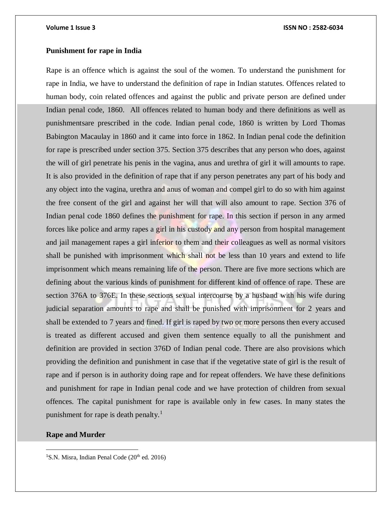# **Punishment for rape in India**

Rape is an offence which is against the soul of the women. To understand the punishment for rape in India, we have to understand the definition of rape in Indian statutes. Offences related to human body, coin related offences and against the public and private person are defined under Indian penal code, 1860. All offences related to human body and there definitions as well as punishmentsare prescribed in the code. Indian penal code, 1860 is written by Lord Thomas Babington Macaulay in 1860 and it came into force in 1862. In Indian penal code the definition for rape is prescribed under section 375. Section 375 describes that any person who does, against the will of girl penetrate his penis in the vagina, anus and urethra of girl it will amounts to rape. It is also provided in the definition of rape that if any person penetrates any part of his body and any object into the vagina, urethra and anus of woman and compel girl to do so with him against the free consent of the girl and against her will that will also amount to rape. Section 376 of Indian penal code 1860 defines the punishment for rape. In this section if person in any armed forces like police and army rapes a girl in his custody and any person from hospital management and jail management rapes a girl inferior to them and their colleagues as well as normal visitors shall be punished with imprisonment which shall not be less than 10 years and extend to life imprisonment which means remaining life of the person. There are five more sections which are defining about the various kinds of punishment for different kind of offence of rape. These are section 376A to 376E. In these sections sexual intercourse by a husband with his wife during judicial separation amounts to rape and shall be punished with imprisonment for 2 years and shall be extended to 7 years and fined. If girl is raped by two or more persons then every accused is treated as different accused and given them sentence equally to all the punishment and definition are provided in section 376D of Indian penal code. There are also provisions which providing the definition and punishment in case that if the vegetative state of girl is the result of rape and if person is in authority doing rape and for repeat offenders. We have these definitions and punishment for rape in Indian penal code and we have protection of children from sexual offences. The capital punishment for rape is available only in few cases. In many states the punishment for rape is death penalty.<sup>1</sup>

# **Rape and Murder**

 $\overline{a}$ 

<sup>1</sup>S.N. Misra, Indian Penal Code ( $20<sup>th</sup>$  ed. 2016)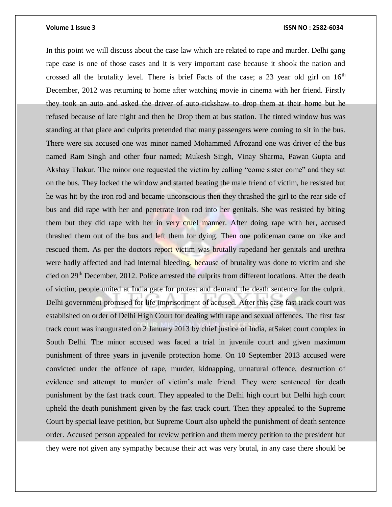In this point we will discuss about the case law which are related to rape and murder. Delhi gang rape case is one of those cases and it is very important case because it shook the nation and crossed all the brutality level. There is brief Facts of the case; a 23 year old girl on  $16<sup>th</sup>$ December, 2012 was returning to home after watching movie in cinema with her friend. Firstly they took an auto and asked the driver of auto-rickshaw to drop them at their home but he refused because of late night and then he Drop them at bus station. The tinted window bus was standing at that place and culprits pretended that many passengers were coming to sit in the bus. There were six accused one was minor named Mohammed Afrozand one was driver of the bus named Ram Singh and other four named; Mukesh Singh, Vinay Sharma, Pawan Gupta and Akshay Thakur. The minor one requested the victim by calling "come sister come" and they sat on the bus. They locked the window and started beating the male friend of victim, he resisted but he was hit by the iron rod and became unconscious then they thrashed the girl to the rear side of bus and did rape with her and penetrate iron rod into her genitals. She was resisted by biting them but they did rape with her in very cruel manner. After doing rape with her, accused thrashed them out of the bus and left them for dying. Then one policeman came on bike and rescued them. As per the doctors report victim was brutally rapedand her genitals and urethra were badly affected and had internal bleeding, because of brutality was done to victim and she died on 29<sup>th</sup> December, 2012. Police arrested the culprits from different locations. After the death of victim, people united at India gate for protest and demand the death sentence for the culprit. Delhi government promised for life imprisonment of accused. After this case fast track court was established on order of Delhi High Court for dealing with rape and sexual offences. The first fast track court was inaugurated on 2 January 2013 by chief justice of India, atSaket court complex in South Delhi. The minor accused was faced a trial in juvenile court and given maximum punishment of three years in juvenile protection home. On 10 September 2013 accused were convicted under the offence of rape, murder, kidnapping, unnatural offence, destruction of evidence and attempt to murder of victim's male friend. They were sentenced for death punishment by the fast track court. They appealed to the Delhi high court but Delhi high court upheld the death punishment given by the fast track court. Then they appealed to the Supreme Court by special leave petition, but Supreme Court also upheld the punishment of death sentence order. Accused person appealed for review petition and them mercy petition to the president but they were not given any sympathy because their act was very brutal, in any case there should be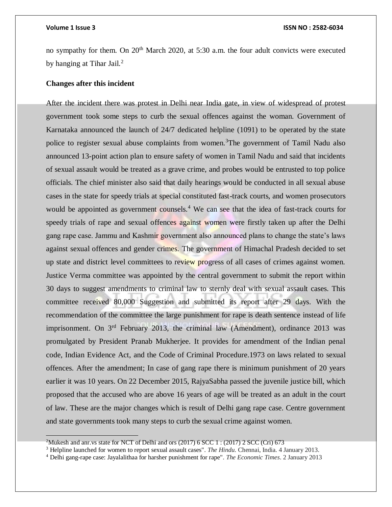### **Volume 1 Issue 3 ISSN NO : 2582-6034**

no sympathy for them. On  $20<sup>th</sup>$  March 2020, at 5:30 a.m. the four adult convicts were executed by hanging at Tihar Jail.<sup>2</sup>

### **Changes after this incident**

After the incident there was protest in Delhi near India gate, in view of widespread of protest government took some steps to curb the sexual offences against the woman. Government of Karnataka announced the launch of 24/7 dedicated helpline (1091) to be operated by the state police to register sexual abuse complaints from women.<sup>3</sup>The government of Tamil Nadu also announced 13-point action plan to ensure safety of women in Tamil Nadu and said that incidents of sexual assault would be treated as a grave crime, and probes would be entrusted to top police officials. The chief minister also said that daily hearings would be conducted in all sexual abuse cases in the state for speedy trials at special constituted fast-track courts, and women prosecutors would be appointed as government counsels.<sup>4</sup> We can see that the idea of fast-track courts for speedy trials of rape and sexual offences against women were firstly taken up after the Delhi gang rape case. Jammu and Kashmir government also announced plans to change the state's laws against sexual offences and gender crimes. The government of Himachal Pradesh decided to set up state and district level committees to review progress of all cases of crimes against women. Justice Verma committee was appointed by the central government to submit the report within 30 days to suggest amendments to criminal law to sternly deal with sexual assault cases. This committee received 80,000 Suggestion and submitted its report after 29 days. With the recommendation of the committee the large punishment for rape is death sentence instead of life imprisonment. On 3<sup>rd</sup> February 2013, the criminal law (Amendment), ordinance 2013 was promulgated by President Pranab Mukherjee. It provides for amendment of the Indian penal code, Indian Evidence Act, and the Code of Criminal Procedure.1973 on laws related to sexual offences. After the amendment; In case of gang rape there is minimum punishment of 20 years earlier it was 10 years. On 22 December 2015, RajyaSabha passed the juvenile justice bill, which proposed that the accused who are above 16 years of age will be treated as an adult in the court of law. These are the major changes which is result of Delhi gang rape case. Centre government and state governments took many steps to curb the sexual crime against women.

<sup>&</sup>lt;sup>2</sup>Mukesh and anr.vs state for NCT of Delhi and ors (2017) 6 SCC 1 : (2017) 2 SCC (Cri) 673

<sup>3</sup> Helpline launched for women to report sexual assault cases". *The Hindu*. Chennai, India. 4 January 2013.

<sup>4</sup> Delhi gang-rape case: Jayalalithaa for harsher punishment for rape". *The Economic Times*. 2 January 2013